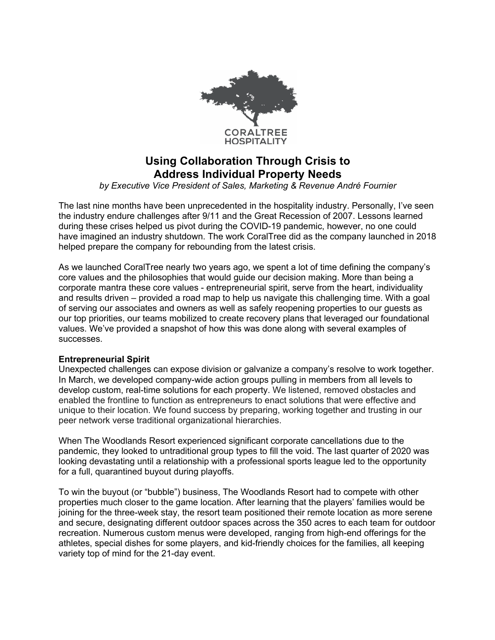

# **Using Collaboration Through Crisis to Address Individual Property Needs**

*by Executive Vice President of Sales, Marketing & Revenue André Fournier*

The last nine months have been unprecedented in the hospitality industry. Personally, I've seen the industry endure challenges after 9/11 and the Great Recession of 2007. Lessons learned during these crises helped us pivot during the COVID-19 pandemic, however, no one could have imagined an industry shutdown. The work CoralTree did as the company launched in 2018 helped prepare the company for rebounding from the latest crisis.

As we launched CoralTree nearly two years ago, we spent a lot of time defining the company's core values and the philosophies that would guide our decision making. More than being a corporate mantra these core values - entrepreneurial spirit, serve from the heart, individuality and results driven – provided a road map to help us navigate this challenging time. With a goal of serving our associates and owners as well as safely reopening properties to our guests as our top priorities, our teams mobilized to create recovery plans that leveraged our foundational values. We've provided a snapshot of how this was done along with several examples of successes.

## **Entrepreneurial Spirit**

Unexpected challenges can expose division or galvanize a company's resolve to work together. In March, we developed company-wide action groups pulling in members from all levels to develop custom, real-time solutions for each property. We listened, removed obstacles and enabled the frontline to function as entrepreneurs to enact solutions that were effective and unique to their location. We found success by preparing, working together and trusting in our peer network verse traditional organizational hierarchies.

When The Woodlands Resort experienced significant corporate cancellations due to the pandemic, they looked to untraditional group types to fill the void. The last quarter of 2020 was looking devastating until a relationship with a professional sports league led to the opportunity for a full, quarantined buyout during playoffs.

To win the buyout (or "bubble") business, The Woodlands Resort had to compete with other properties much closer to the game location. After learning that the players' families would be joining for the three-week stay, the resort team positioned their remote location as more serene and secure, designating different outdoor spaces across the 350 acres to each team for outdoor recreation. Numerous custom menus were developed, ranging from high-end offerings for the athletes, special dishes for some players, and kid-friendly choices for the families, all keeping variety top of mind for the 21-day event.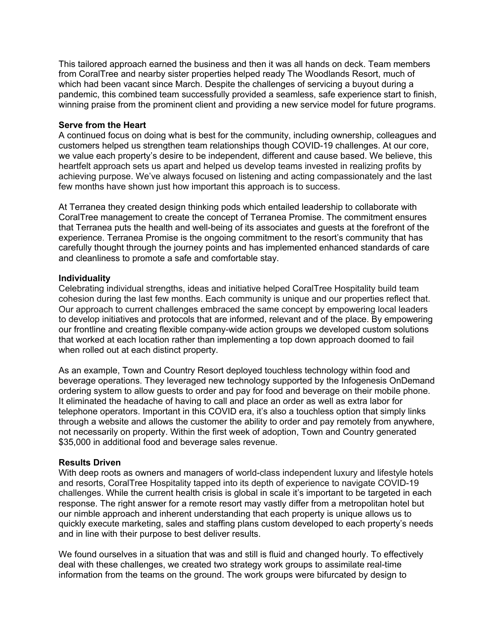This tailored approach earned the business and then it was all hands on deck. Team members from CoralTree and nearby sister properties helped ready The Woodlands Resort, much of which had been vacant since March. Despite the challenges of servicing a buyout during a pandemic, this combined team successfully provided a seamless, safe experience start to finish, winning praise from the prominent client and providing a new service model for future programs.

#### **Serve from the Heart**

A continued focus on doing what is best for the community, including ownership, colleagues and customers helped us strengthen team relationships though COVID-19 challenges. At our core, we value each property's desire to be independent, different and cause based. We believe, this heartfelt approach sets us apart and helped us develop teams invested in realizing profits by achieving purpose. We've always focused on listening and acting compassionately and the last few months have shown just how important this approach is to success.

At Terranea they created design thinking pods which entailed leadership to collaborate with CoralTree management to create the concept of Terranea Promise. The commitment ensures that Terranea puts the health and well-being of its associates and guests at the forefront of the experience. Terranea Promise is the ongoing commitment to the resort's community that has carefully thought through the journey points and has implemented enhanced standards of care and cleanliness to promote a safe and comfortable stay.

### **Individuality**

Celebrating individual strengths, ideas and initiative helped CoralTree Hospitality build team cohesion during the last few months. Each community is unique and our properties reflect that. Our approach to current challenges embraced the same concept by empowering local leaders to develop initiatives and protocols that are informed, relevant and of the place. By empowering our frontline and creating flexible company-wide action groups we developed custom solutions that worked at each location rather than implementing a top down approach doomed to fail when rolled out at each distinct property.

As an example, Town and Country Resort deployed touchless technology within food and beverage operations. They leveraged new technology supported by the Infogenesis OnDemand ordering system to allow guests to order and pay for food and beverage on their mobile phone. It eliminated the headache of having to call and place an order as well as extra labor for telephone operators. Important in this COVID era, it's also a touchless option that simply links through a website and allows the customer the ability to order and pay remotely from anywhere, not necessarily on property. Within the first week of adoption, Town and Country generated \$35,000 in additional food and beverage sales revenue.

#### **Results Driven**

With deep roots as owners and managers of world-class independent luxury and lifestyle hotels and resorts, CoralTree Hospitality tapped into its depth of experience to navigate COVID-19 challenges. While the current health crisis is global in scale it's important to be targeted in each response. The right answer for a remote resort may vastly differ from a metropolitan hotel but our nimble approach and inherent understanding that each property is unique allows us to quickly execute marketing, sales and staffing plans custom developed to each property's needs and in line with their purpose to best deliver results.

We found ourselves in a situation that was and still is fluid and changed hourly. To effectively deal with these challenges, we created two strategy work groups to assimilate real-time information from the teams on the ground. The work groups were bifurcated by design to